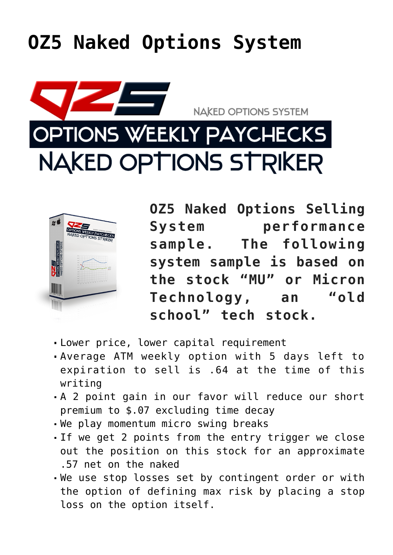## **[OZ5 Naked Options System](https://optionsweeklypaychecks.com/oz5-naked-options-system/)**





**OZ5 Naked Options Selling System performance sample. The following system sample is based on the stock "MU" or Micron Technology, an "old school" tech stock.**

- Lower price, lower capital requirement
- Average ATM weekly option with 5 days left to expiration to sell is .64 at the time of this writing
- A 2 point gain in our favor will reduce our short premium to \$.07 excluding time decay
- We play momentum micro swing breaks
- If we get 2 points from the entry trigger we close out the position on this stock for an approximate .57 net on the naked
- We use stop losses set by contingent order or with the option of defining max risk by placing a stop loss on the option itself.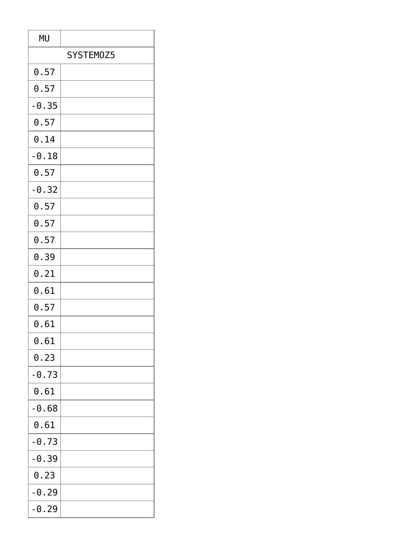| <b>MU</b> |  |
|-----------|--|
| SYSTEM0Z5 |  |
| 0.57      |  |
| 0.57      |  |
| $-0.35$   |  |
| 0.57      |  |
| 0.14      |  |
| $-0.18$   |  |
| 0.57      |  |
| $-0.32$   |  |
| 0.57      |  |
| 0.57      |  |
| 0.57      |  |
| 0.39      |  |
| 0.21      |  |
| 0.61      |  |
| 0.57      |  |
| 0.61      |  |
| 0.61      |  |
| 0.23      |  |
| $-0.73$   |  |
| 0.61      |  |
| $-0.68$   |  |
| 0.61      |  |
| $-0.73$   |  |
| $-0.39$   |  |
| 0.23      |  |
| $-0.29$   |  |
| $-0.29$   |  |